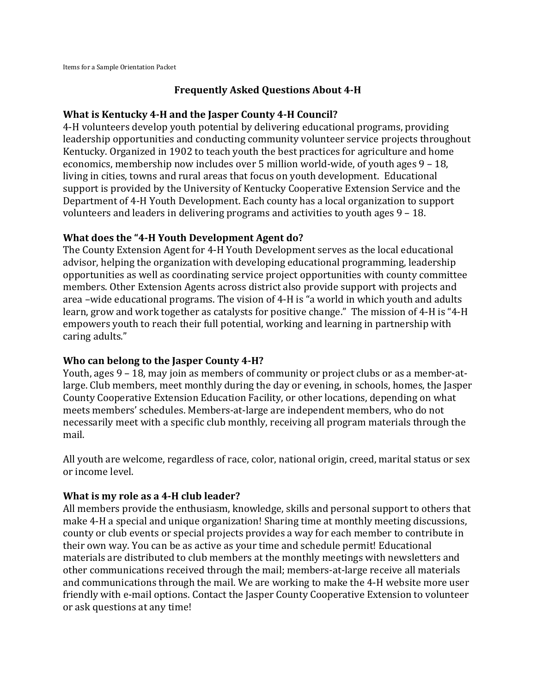### **Frequently Asked Questions About 4-H**

#### **What is Kentucky 4-H and the Jasper County 4-H Council?**

4-H volunteers develop youth potential by delivering educational programs, providing leadership opportunities and conducting community volunteer service projects throughout Kentucky. Organized in 1902 to teach youth the best practices for agriculture and home economics, membership now includes over 5 million world-wide, of youth ages 9 – 18, living in cities, towns and rural areas that focus on youth development. Educational support is provided by the University of Kentucky Cooperative Extension Service and the Department of 4-H Youth Development. Each county has a local organization to support volunteers and leaders in delivering programs and activities to youth ages 9 – 18.

### **What does the "4-H Youth Development Agent do?**

The County Extension Agent for 4-H Youth Development serves as the local educational advisor, helping the organization with developing educational programming, leadership opportunities as well as coordinating service project opportunities with county committee members. Other Extension Agents across district also provide support with projects and area –wide educational programs. The vision of 4-H is "a world in which youth and adults learn, grow and work together as catalysts for positive change." The mission of 4-H is "4-H empowers youth to reach their full potential, working and learning in partnership with caring adults."

## **Who can belong to the Jasper County 4-H?**

Youth, ages 9 – 18, may join as members of community or project clubs or as a member-atlarge. Club members, meet monthly during the day or evening, in schools, homes, the Jasper County Cooperative Extension Education Facility, or other locations, depending on what meets members' schedules. Members-at-large are independent members, who do not necessarily meet with a specific club monthly, receiving all program materials through the mail.

All youth are welcome, regardless of race, color, national origin, creed, marital status or sex or income level.

#### **What is my role as a 4-H club leader?**

All members provide the enthusiasm, knowledge, skills and personal support to others that make 4-H a special and unique organization! Sharing time at monthly meeting discussions, county or club events or special projects provides a way for each member to contribute in their own way. You can be as active as your time and schedule permit! Educational materials are distributed to club members at the monthly meetings with newsletters and other communications received through the mail; members-at-large receive all materials and communications through the mail. We are working to make the 4-H website more user friendly with e-mail options. Contact the Jasper County Cooperative Extension to volunteer or ask questions at any time!